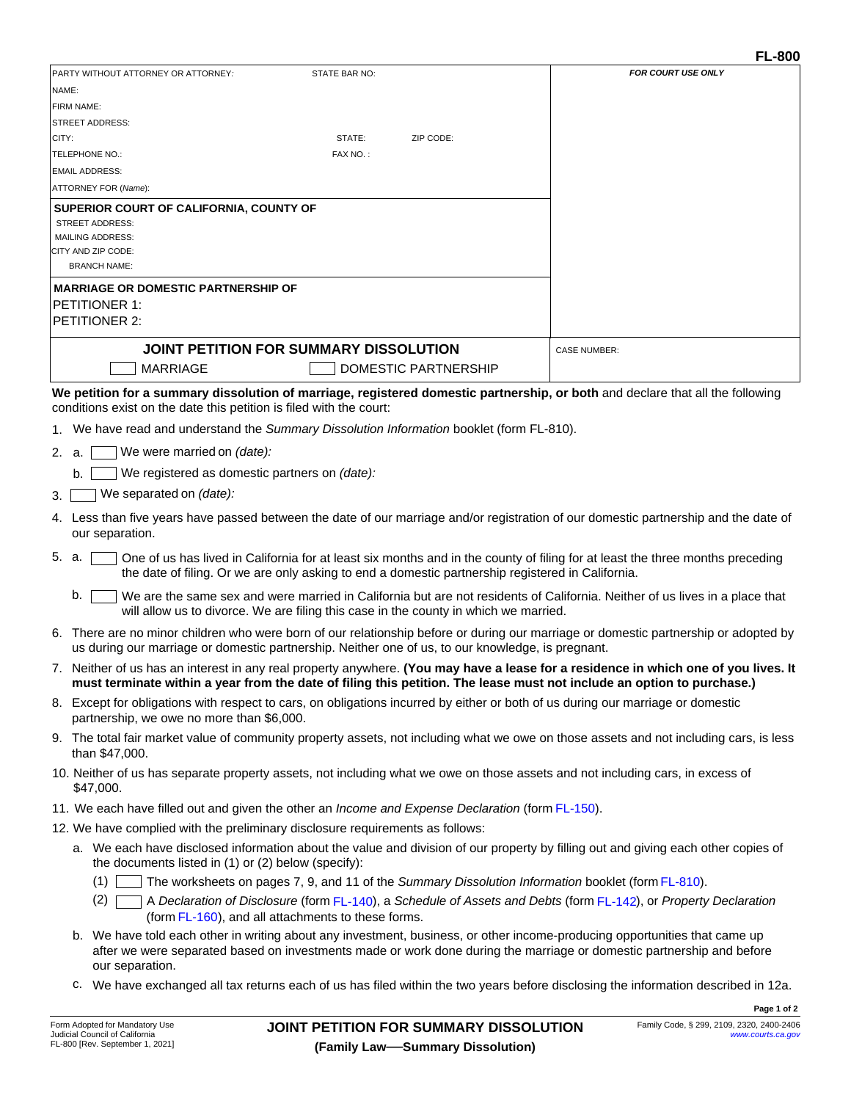|       |                                                                                                                                                                                                                                                               | PARTY WITHOUT ATTORNEY OR ATTORNEY:                                                              | STATE BAR NO: |                                        | <b>FOR COURT USE ONLY</b>                                                                                                                                                                                                                           |
|-------|---------------------------------------------------------------------------------------------------------------------------------------------------------------------------------------------------------------------------------------------------------------|--------------------------------------------------------------------------------------------------|---------------|----------------------------------------|-----------------------------------------------------------------------------------------------------------------------------------------------------------------------------------------------------------------------------------------------------|
| NAME: |                                                                                                                                                                                                                                                               |                                                                                                  |               |                                        |                                                                                                                                                                                                                                                     |
|       | FIRM NAME:                                                                                                                                                                                                                                                    |                                                                                                  |               |                                        |                                                                                                                                                                                                                                                     |
|       |                                                                                                                                                                                                                                                               | <b>STREET ADDRESS:</b>                                                                           |               |                                        |                                                                                                                                                                                                                                                     |
| CITY: |                                                                                                                                                                                                                                                               |                                                                                                  | STATE:        | ZIP CODE:                              |                                                                                                                                                                                                                                                     |
|       |                                                                                                                                                                                                                                                               | TELEPHONE NO.:                                                                                   | FAX NO.:      |                                        |                                                                                                                                                                                                                                                     |
|       |                                                                                                                                                                                                                                                               | <b>EMAIL ADDRESS:</b>                                                                            |               |                                        |                                                                                                                                                                                                                                                     |
|       |                                                                                                                                                                                                                                                               | ATTORNEY FOR (Name):                                                                             |               |                                        |                                                                                                                                                                                                                                                     |
|       |                                                                                                                                                                                                                                                               | SUPERIOR COURT OF CALIFORNIA, COUNTY OF                                                          |               |                                        |                                                                                                                                                                                                                                                     |
|       |                                                                                                                                                                                                                                                               | <b>STREET ADDRESS:</b><br><b>MAILING ADDRESS:</b>                                                |               |                                        |                                                                                                                                                                                                                                                     |
|       |                                                                                                                                                                                                                                                               | CITY AND ZIP CODE:                                                                               |               |                                        |                                                                                                                                                                                                                                                     |
|       |                                                                                                                                                                                                                                                               | <b>BRANCH NAME:</b>                                                                              |               |                                        |                                                                                                                                                                                                                                                     |
|       |                                                                                                                                                                                                                                                               | <b>MARRIAGE OR DOMESTIC PARTNERSHIP OF</b>                                                       |               |                                        |                                                                                                                                                                                                                                                     |
|       |                                                                                                                                                                                                                                                               | <b>PETITIONER 1:</b>                                                                             |               |                                        |                                                                                                                                                                                                                                                     |
|       |                                                                                                                                                                                                                                                               | PETITIONER 2:                                                                                    |               |                                        |                                                                                                                                                                                                                                                     |
|       |                                                                                                                                                                                                                                                               |                                                                                                  |               |                                        |                                                                                                                                                                                                                                                     |
|       |                                                                                                                                                                                                                                                               | JOINT PETITION FOR SUMMARY DISSOLUTION                                                           |               |                                        | <b>CASE NUMBER:</b>                                                                                                                                                                                                                                 |
|       |                                                                                                                                                                                                                                                               | <b>MARRIAGE</b>                                                                                  |               | <b>DOMESTIC PARTNERSHIP</b>            |                                                                                                                                                                                                                                                     |
|       |                                                                                                                                                                                                                                                               | conditions exist on the date this petition is filed with the court:                              |               |                                        | We petition for a summary dissolution of marriage, registered domestic partnership, or both and declare that all the following                                                                                                                      |
|       |                                                                                                                                                                                                                                                               | 1. We have read and understand the Summary Dissolution Information booklet (form FL-810).        |               |                                        |                                                                                                                                                                                                                                                     |
| 2. a. |                                                                                                                                                                                                                                                               | We were married on (date):                                                                       |               |                                        |                                                                                                                                                                                                                                                     |
|       |                                                                                                                                                                                                                                                               | We registered as domestic partners on (date):                                                    |               |                                        |                                                                                                                                                                                                                                                     |
|       | b.                                                                                                                                                                                                                                                            |                                                                                                  |               |                                        |                                                                                                                                                                                                                                                     |
| 3.    |                                                                                                                                                                                                                                                               | We separated on (date):                                                                          |               |                                        |                                                                                                                                                                                                                                                     |
|       | 4. Less than five years have passed between the date of our marriage and/or registration of our domestic partnership and the date of<br>our separation.                                                                                                       |                                                                                                  |               |                                        |                                                                                                                                                                                                                                                     |
| 5. a. | One of us has lived in California for at least six months and in the county of filing for at least the three months preceding<br>the date of filing. Or we are only asking to end a domestic partnership registered in California.                            |                                                                                                  |               |                                        |                                                                                                                                                                                                                                                     |
|       | b.                                                                                                                                                                                                                                                            | will allow us to divorce. We are filing this case in the county in which we married.             |               |                                        | We are the same sex and were married in California but are not residents of California. Neither of us lives in a place that                                                                                                                         |
|       | 6. There are no minor children who were born of our relationship before or during our marriage or domestic partnership or adopted by<br>us during our marriage or domestic partnership. Neither one of us, to our knowledge, is pregnant.                     |                                                                                                  |               |                                        |                                                                                                                                                                                                                                                     |
|       | 7. Neither of us has an interest in any real property anywhere. (You may have a lease for a residence in which one of you lives. It<br>must terminate within a year from the date of filing this petition. The lease must not include an option to purchase.) |                                                                                                  |               |                                        |                                                                                                                                                                                                                                                     |
|       |                                                                                                                                                                                                                                                               | partnership, we owe no more than \$6,000.                                                        |               |                                        | 8. Except for obligations with respect to cars, on obligations incurred by either or both of us during our marriage or domestic                                                                                                                     |
|       | 9. The total fair market value of community property assets, not including what we owe on those assets and not including cars, is less<br>than \$47,000.                                                                                                      |                                                                                                  |               |                                        |                                                                                                                                                                                                                                                     |
|       | 10. Neither of us has separate property assets, not including what we owe on those assets and not including cars, in excess of<br>\$47,000.                                                                                                                   |                                                                                                  |               |                                        |                                                                                                                                                                                                                                                     |
|       |                                                                                                                                                                                                                                                               | 11. We each have filled out and given the other an Income and Expense Declaration (form FL-150). |               |                                        |                                                                                                                                                                                                                                                     |
|       |                                                                                                                                                                                                                                                               | 12. We have complied with the preliminary disclosure requirements as follows:                    |               |                                        |                                                                                                                                                                                                                                                     |
|       |                                                                                                                                                                                                                                                               |                                                                                                  |               |                                        | a. We each have disclosed information about the value and division of our property by filling out and giving each other copies of                                                                                                                   |
|       |                                                                                                                                                                                                                                                               | the documents listed in (1) or (2) below (specify):                                              |               |                                        |                                                                                                                                                                                                                                                     |
|       |                                                                                                                                                                                                                                                               | (1)                                                                                              |               |                                        | The worksheets on pages 7, 9, and 11 of the Summary Dissolution Information booklet (form FL-810).                                                                                                                                                  |
|       |                                                                                                                                                                                                                                                               | (2)<br>(form FL-160), and all attachments to these forms.                                        |               |                                        | A Declaration of Disclosure (form FL-140), a Schedule of Assets and Debts (form FL-142), or Property Declaration                                                                                                                                    |
|       |                                                                                                                                                                                                                                                               | our separation.                                                                                  |               |                                        | b. We have told each other in writing about any investment, business, or other income-producing opportunities that came up<br>after we were separated based on investments made or work done during the marriage or domestic partnership and before |
|       |                                                                                                                                                                                                                                                               |                                                                                                  |               |                                        | c. We have exchanged all tax returns each of us has filed within the two years before disclosing the information described in 12a.                                                                                                                  |
|       |                                                                                                                                                                                                                                                               |                                                                                                  |               |                                        | Page 1 of 2                                                                                                                                                                                                                                         |
|       |                                                                                                                                                                                                                                                               | Form Adopted for Mandatory Use<br>Judicial Council of California                                 |               | JOINT PETITION FOR SUMMARY DISSOLUTION | Family Code, § 299, 2109, 2320, 2400-2406<br>www.courts.ca.gov                                                                                                                                                                                      |